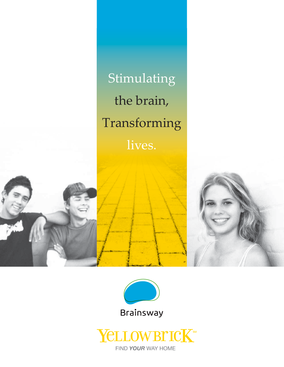Stimulating the brain, Transforming lives.





FIND YOUR WAY HOME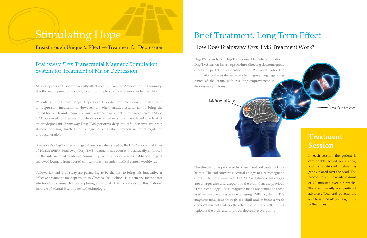*Deep* TMS stands for "*Deep* Transcranial Magnetic Stimulation". *Deep* TMS is a non-invasive procedure, directing electromagnetic energy to a part of the brain called the Left Prefrontal Cortex. The stimulation activates the nerve cells in this governing, regulating center of the brain, with resulting improvement in depressive symptoms.

The stimulation is produced by a treatment coil contained in a helmet. The coil converts electrical energy to electromagnetic energy. The Brainsway *Deep* TMS "H" coil directs this energy into a larger area and deeper into the brain than the previous rTMS technology. These magnetic fields are similar to those used in magnetic resonance imaging (MRI) systems. The magnetic field goes through the skull and induces a weak electrical current that briefly activates the nerve cells in this region of the brain and improves depressive symptoms.

## Brainsway *Deep* Transcranial Magnetic Stimulation System for Treatment of Major Depression

Major Depressive Disorder painfully affects nearly 15 million American adults annually. It is the leading medical condition contributing to suicide and worldwide disability.

Yellowbrick and Brainsway are partnering to be the first to bring this innovative & effective treatment for depression to Chicago. Yellowbrick is a primary investigator site for clinical research trials exploring additional FDA indications for this National Institute of Mental Health patented technology.

Patients suffering from Major Depressive Disorder are traditionally treated with antidepressant medications. However, too often, antidepressants fail to bring the hoped-for relief, and frequently cause adverse side effects. Brainsway *Deep* TMS is FDA approved for treatment of depression in patients who have failed one trial of an antidepressant. Brainsway *Deep* TMS performs deep but safe, non-invasive brain stimulation using directed electromagnetic fields which promote neuronal regulation and regeneration.

Brainsway's *Deep* TMS technology is based on patents filed by the U.S. National Institutes of Health (NIH). Brainsway *Deep* TMS treatment has been enthusiastically embraced by the international academic community, with superior results published in peer reviewed journals from over 60 clinical trials in premier medical centers worldwide.

# Brief Treatment, Long Term Effect How Does Brainsway *Deep* TMS Treatment Work?

## **Treatment Session**

In each session, the patient is comfortably seated on a chair, and a cushioned helmet is gently placed over the head. The procedure requires daily sessions of 20 minutes over 4-5 weeks. There are usually no significant adverse effects and patients are able to immediately engage fully in their lives.



Nerve Cells Activated

# Stimulating Hope

Breakthrough Unique & Effective Treatment for Depression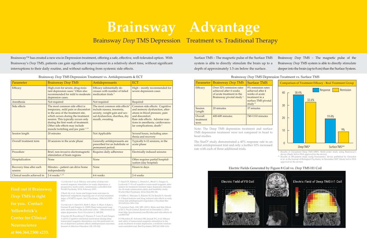Brainsway™ has created a new era in Depression treatment, offering a safe, effective, well-tolerated option. With Brainsway's *Deep* TMS, patients can gain significant improvement in a relatively short time, without significant interruptions to their daily routine, and without suffering from systemic side effects.

**Brainsway Advantage**

## Brainsway *Deep* TMS Depression Treatment vs. Traditional Therapy

| Parameter                           | <b>Brainsway Deep TMS</b>                                                                                                                                                                                                                                                                                         | Antidepressants                                                                                                                                               | <b>ECT</b>                                                                                                                                                                                                                              |
|-------------------------------------|-------------------------------------------------------------------------------------------------------------------------------------------------------------------------------------------------------------------------------------------------------------------------------------------------------------------|---------------------------------------------------------------------------------------------------------------------------------------------------------------|-----------------------------------------------------------------------------------------------------------------------------------------------------------------------------------------------------------------------------------------|
| Efficacy                            | High even for severe, drug-resis-<br>tant depression cases. <sup>1</sup> Often also<br>recommended for mild to moderate<br>depression cases.                                                                                                                                                                      | Efficacy substantially de-<br>creases with number of failed<br>medication trials <sup>2</sup>                                                                 | High - mostly recommended for<br>severe depression cases                                                                                                                                                                                |
| Anesthesia                          | Not required                                                                                                                                                                                                                                                                                                      | Not required                                                                                                                                                  | Required                                                                                                                                                                                                                                |
| Side effects                        | The most common side effect is<br>temporary, mild pain or discomfort<br>in the area of the treatment site,<br>which occurs during the treatment<br>session. This typically occurs only<br>during the first week of treatment.<br>Other side effects may include<br>muscle twitching and jaw pain <sup>1,3-5</sup> | The most common side effects <sup>6</sup><br>include nausea, insomnia,<br>anxiety, weight gain and sex-<br>ual dysfunction, diarrhea, dry<br>mouth, sweating. | Common side effects: Cognitive<br>and memory dysfunction, alter-<br>ations in blood pressure, pain<br>and discomfort.<br>Rare side effects: Adverse reac-<br>tions to anesthesia, cardiovascu-<br>lar complications, death <sup>7</sup> |
| Session length                      | 20 minutes                                                                                                                                                                                                                                                                                                        | Not Applicable                                                                                                                                                | Several hours, including anes-<br>thesia and recovery                                                                                                                                                                                   |
| Overall treatment term              | 20 sessions in the acute phase                                                                                                                                                                                                                                                                                    | Generally antidepressants are<br>prescribed for an Indefinite or<br>permanent period.                                                                         | Typically 6-12 sessions, in the<br>acute phase                                                                                                                                                                                          |
| Procedure                           | Brief, non-invasive electromagnetic<br>stimulation of brain regions                                                                                                                                                                                                                                               | Requires daily adherence                                                                                                                                      | <b>Electrically induced seizures</b>                                                                                                                                                                                                    |
| Hospitalization                     | None                                                                                                                                                                                                                                                                                                              | None                                                                                                                                                          | Often requires partial hospital-<br>ization (day hospital)                                                                                                                                                                              |
| Recovery time after each<br>session | Minutes - patient can drive home<br>independently                                                                                                                                                                                                                                                                 | None                                                                                                                                                          | Hours to days                                                                                                                                                                                                                           |
| Clinical results achieved in        | 2-4 weeks <sup>1,3-5</sup>                                                                                                                                                                                                                                                                                        | 4-6 weeks                                                                                                                                                     | 2-4 weeks                                                                                                                                                                                                                               |

| Parameter                    | <b>Brainsway Deep TMS</b>                                                                                               | <b>Surface TMS</b>                                                                                             |
|------------------------------|-------------------------------------------------------------------------------------------------------------------------|----------------------------------------------------------------------------------------------------------------|
| Efficacy                     | Over 32% remission rates<br>achieved after 4 weeks<br>of acute treatment in the<br>Brainsway pivotal study <sup>1</sup> | 9% remission rates<br>achieved after 4<br>weeks of acute<br>treatment in a<br>surface TMS pivotal<br>study $8$ |
| Session<br>Length            | 20 minutes                                                                                                              | 37 minutes                                                                                                     |
| Overall<br>treatment<br>term | $400-600$ minutes                                                                                                       | 740-1110 minutes                                                                                               |

1 Levkovitz Y et al. Efficacy and safety of deep transcranial magnetic stimulation for major depression: a prospective, multi-center, randomized, controlled trial. World Psychiatry 2014; February 2015.

The StarD<sup>2</sup> study demonstrated a  $40\%$  response rate to an initial antidepressant trial and only a further 10% increased rate with each of three additional trials.



Results of 212-patient Deep TMS DBPC Multi-center study using Brainsway's device (Study led to FDA approval for the device)

2 Rush AJ, et al. Acute and longer-term outcomes in depressed outpatients requiring one or several treatment steps: a STAR\*D report. Am J Psychiatry. 2006;163:1905– 1917.

3 Levkovitz Y, Harel EV, Roth Y, Braw Y, Sheer A Katz L, Gersner R and Zangen A. (2009) Deep transcranial magnetic stimulation of the prefrontal cortex – Effectiveness in major depression. *Brain Stimulation* 2: 188-200.

4 Isserles M, Rosenberg O, Dannon P, Lerer B and Zangen A (2011) Cognitive emotional reactivation during deep transcranial magnetic stimulation over the prefrontal cortex of depressive patients affects antidepressant outcomes. Journal of Affective Disorders 128: 235-242.

5 Harel EV, Rabany L, Deutsch L, Bloch Y, Zangen A, Levkovitz Y. H-coil repetitive transcranial magnetic stimulation for treatment resistant major depressive disorder: An 18-week continuation safety and feasibility study. World J Biol Psychiatry 2014;15(4):298-306.

 6 Fabbri C, Marsano A, Balestri M, De Ronchi D, Serretti A. Clinical features and drug induced side effects in early versus late antidepressant responders. J Psychiatr Res 2013;47(10):1309-1318.

7 Lawrence Park, AM, MD. (2011). Risks and Side Effects of ECT. Psych Central. Retrieved on December 3, 2014, from http://psychcentral.com/lib/risks-and-side-effects-ofect/0007365

8 O'Reardon JP, Solvason HB, Janicak PG, et al. Efficacy and safety of transcranial magnetic stimulation in the acute treatment of major depression: a multisite randomized controlled trial. Biol Psychiatry 2007;62:1208-1216.



Surface TMS – The magnetic pulse of the Surface TMS system is able to directly stimulate the brain up to a depth of approximately 1.5 cm below the surface. Brainsway *Deep* TMS – The magnetic pulse of the Brainsway *Deep* TMS system is able to directly stimulate deeper into the brain (up to 8 cm) than the Surface System.

### Brainsway *Deep* TMS Depression Treatment vs. Antidepressants & ECT Brainsway *Deep* TMS Depression Treatment vs. Surface TMS

**Find out if Brainsway**  *Deep* **TMS is right for you. Contact Yellowbrick's Center for Clinical Neuroscience at 866.364.2300 x233.**

Note: The Deep TMS depression treatment and surface TMS depression treatment were not compared in head to head studies.

Electric Fields Generated by Figure 8 Coil vs. *Deep* TMS H1 Coil

\*\* Results of 300-patient study using Neuronetics' device published by Oreardon et al. in the Journal of Biological Psychiatry in December 2007 (Study led to FDA approval for the device)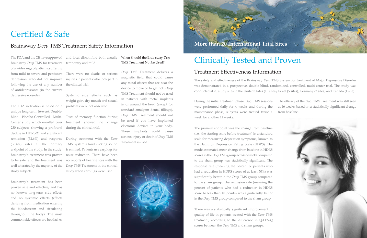Brainsway *Deep* TMS for treatment temporary and mild. of a wide range of patients, suffering following the use of any number the clinical trial. of antidepressants (in the current depressive episode).

The FDA indication is based on a problems were not observed. unique long-term 16-week Double-Blind Placebo-Controlled Multi-Center study which enrolled over 230 subjects, showing a profound decline in HDRS-21 and significant remission (32.6%) and response (38.4%) rates at the primary endpoint of the study. In the study, Brainsway's treatment was proven noise reduction. There have been to be safe, and the treatment was well tolerated by the majority of the *Deep* TMS Treatment in the clinical study subjects.

The FDA and the CE have approved and local discomfort, both usually

from mild to severe and persistent There were no deaths or serious depression, who did not improve injuries in patients who took part in

Brainsway's treatment has been proven safe and effective, and has no known long-term side effects and no systemic effects (effects deriving from medication entering the bloodstream and circulating throughout the body). The most common side effects are headaches

Systemic side effects such as weight gain, dry mouth and sexual

Tests of memory function during treatment showed no change during the clinical trial.

During treatment with the *Deep*  TMS System a loud clicking sound is emitted. Patients use earplugs for no reports of hearing loss with the study when earplugs were used.

The primary endpoint was the change from baseline (i.e., the starting score before treatment) in a standard scale for measuring depression symptoms, known as the Hamilton Depression Rating Scale (HDRS). The model estimated mean change from baseline in HDRS scores in the *Deep* TMS group across 5 weeks compared to the sham group was statistically significant. The response rate (meaning the percent of patients who had a reduction in HDRS scores of at least 50%) was significantly better in the *Deep* TMS group compared to the sham group. The remission rate (meaning the percent of patients who had a reduction in HDRS score to less than 10 points) was significantly better in the *Deep* TMS group compared to the sham group.

During the initial treatment phase, *Deep* TMS sessions were performed daily for 4 weeks and during the maintenance phase, subjects were treated twice a week for another 12 weeks. The efficacy of the *Deep* TMS Treatment was still seen at 16 weeks, based on a statistically significant change from baseline.

There was a statistically significant improvement in quality of life in patients treated with the *Deep* TMS treatment, according to the difference in Q-LES-Q scores between the *Deep* TMS and sham groups.

 $\tau_{\rm eff}$ 



## Certified & Safe

### Brainsway *Deep* TMS Treatment Safety Information

# Clinically Tested and Proven Treatment Effectiveness Information

The safety and effectiveness of the Brainsway *Deep* TMS System for treatment of Major Depressive Disorder was demonstrated in a prospective, double blind, randomized, controlled, multi-center trial. The study was conducted at 20 study sites in the United States (15 sites), Israel (5 sites), Germany (2 sites) and Canada (1 site).

### When Should the Brainsway *Deep* TMS Treatment Not be Used?

*Deep* TMS Treatment delivers a magnetic field that could cause any metal objects that are near the device to move or to get hot. *D*eep TMS Treatment should not be used in patients with metal implants in or around the head (except for standard amalgam dental fillings). *Deep* TMS Treatment should not be used if you have implanted electronic devices in your body. These implants could cause serious injury or death if *Deep* TMS Treatment is used.